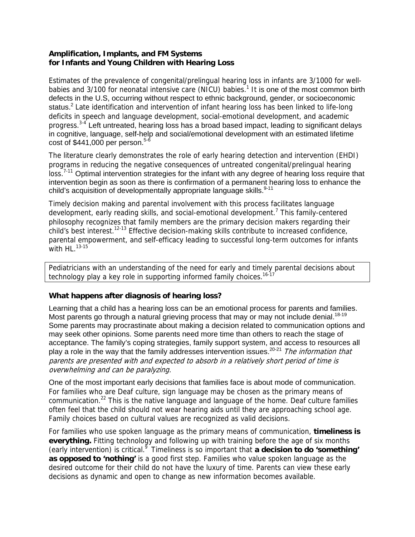#### **Amplification, Implants, and FM Systems for Infants and Young Children with Hearing Loss**

Estimates of the prevalence of congenital/prelingual hearing loss in infants are 3/1000 for wellbabies and 3/100 for neonatal intensive care (NICU) babies.<sup>1</sup> It is one of the most common birth defects in the U.S, occurring without respect to ethnic background, gender, or socioeconomic status.<sup>2</sup> Late identification and intervention of infant hearing loss has been linked to life-long deficits in speech and language development, social-emotional development, and academic progress.3-4 Left untreated, hearing loss has a broad based impact, leading to significant delays in cognitive, language, self-help and social/emotional development with an estimated lifetime cost of  $$441,000$  per person.<sup>5-6</sup>

The literature clearly demonstrates the role of early hearing detection and intervention (EHDI) programs in reducing the negative consequences of untreated congenital/prelingual hearing loss.<sup>7-11</sup> Optimal intervention strategies for the infant with any degree of hearing loss require that intervention begin as soon as there is confirmation of a permanent hearing loss to enhance the child's acquisition of developmentally appropriate language skills. <sup>9-11</sup>

Timely decision making and parental involvement with this process facilitates language development, early reading skills, and social-emotional development.<sup>7</sup> This family-centered philosophy recognizes that family members are the primary decision makers regarding their child's best interest.<sup>12-13</sup> Effective decision-making skills contribute to increased confidence, parental empowerment, and self-efficacy leading to successful long-term outcomes for infants with  $HL$ .  $^{13-15}$ 

Pediatricians with an understanding of the need for early and timely parental decisions about technology play a key role in supporting informed family choices.<sup>16-17</sup>

### **What happens after diagnosis of hearing loss?**

Learning that a child has a hearing loss can be an emotional process for parents and families. Most parents go through a natural grieving process that may or may not include denial.<sup>18-19</sup> Some parents may procrastinate about making a decision related to communication options and may seek other opinions. Some parents need more time than others to reach the stage of acceptance. The family's coping strategies, family support system, and access to resources all play a role in the way that the family addresses intervention issues.<sup>20-21</sup> The information that parents are presented with and expected to absorb in a relatively short period of time is overwhelming and can be paralyzing.

One of the most important early decisions that families face is about mode of communication. For families who are Deaf culture, sign language may be chosen as the primary means of communication.<sup>22</sup> This is the native language and language of the home. Deaf culture families often feel that the child should not wear hearing aids until they are approaching school age. Family choices based on cultural values are recognized as valid decisions.

For families who use spoken language as the primary means of communication, **timeliness is everything.** Fitting technology and following up with training before the age of six months (early intervention) is critical.9 Timeliness is so important that **a decision to do 'something' as opposed to 'nothing'** is a good first step. Families who value spoken language as the desired outcome for their child do not have the luxury of time. Parents can view these early decisions as dynamic and open to change as new information becomes available.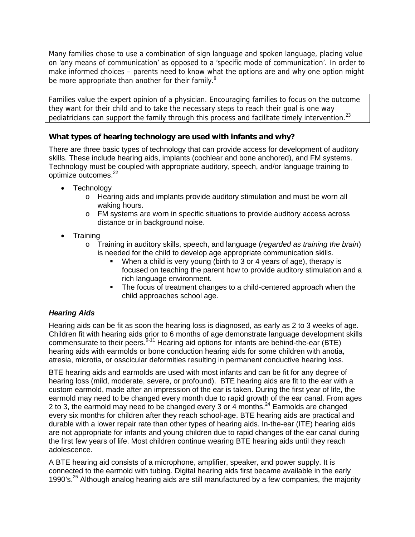Many families chose to use a combination of sign language and spoken language, placing value on 'any means of communication' as opposed to a 'specific mode of communication'. In order to make informed choices – parents need to know what the options are and why one option might be more appropriate than another for their family. $^9$ 

Families value the expert opinion of a physician. Encouraging families to focus on the outcome they want for their child and to take the necessary steps to reach their goal is one way pediatricians can support the family through this process and facilitate timely intervention.<sup>23</sup>

# **What types of hearing technology are used with infants and why?**

There are three basic types of technology that can provide access for development of auditory skills. These include hearing aids, implants (cochlear and bone anchored), and FM systems. Technology must be coupled with appropriate auditory, speech, and/or language training to optimize outcomes.<sup>22</sup>

- Technology
	- $\circ$  Hearing aids and implants provide auditory stimulation and must be worn all waking hours.
	- o FM systems are worn in specific situations to provide auditory access across distance or in background noise.
- Training
	- o Training in auditory skills, speech, and language (*regarded as training the brain*) is needed for the child to develop age appropriate communication skills.
		- When a child is very young (birth to 3 or 4 years of age), therapy is focused on teaching the parent how to provide auditory stimulation and a rich language environment.
		- The focus of treatment changes to a child-centered approach when the child approaches school age.

## *Hearing Aids*

Hearing aids can be fit as soon the hearing loss is diagnosed, as early as 2 to 3 weeks of age. Children fit with hearing aids prior to 6 months of age demonstrate language development skills commensurate to their peers.<sup>9-11</sup> Hearing aid options for infants are behind-the-ear (BTE) hearing aids with earmolds or bone conduction hearing aids for some children with anotia, atresia, microtia, or osscicular deformities resulting in permanent conductive hearing loss.

BTE hearing aids and earmolds are used with most infants and can be fit for any degree of hearing loss (mild, moderate, severe, or profound). BTE hearing aids are fit to the ear with a custom earmold, made after an impression of the ear is taken. During the first year of life, the earmold may need to be changed every month due to rapid growth of the ear canal. From ages 2 to 3, the earmold may need to be changed every 3 or 4 months.<sup>24</sup> Earmolds are changed every six months for children after they reach school-age. BTE hearing aids are practical and durable with a lower repair rate than other types of hearing aids. In-the-ear (ITE) hearing aids are not appropriate for infants and young children due to rapid changes of the ear canal during the first few years of life. Most children continue wearing BTE hearing aids until they reach adolescence.

A BTE hearing aid consists of a microphone, amplifier, speaker, and power supply. It is connected to the earmold with tubing. Digital hearing aids first became available in the early 1990's.<sup>25</sup> Although analog hearing aids are still manufactured by a few companies, the majority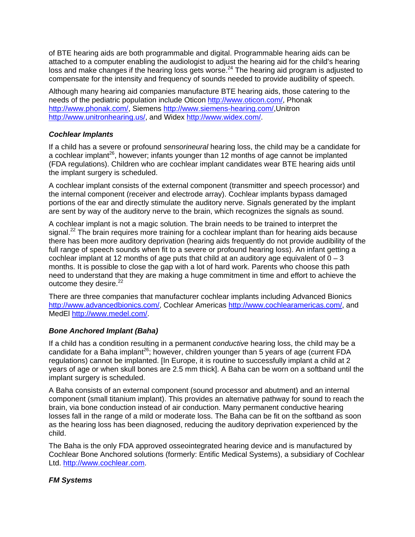of BTE hearing aids are both programmable and digital. Programmable hearing aids can be attached to a computer enabling the audiologist to adjust the hearing aid for the child's hearing loss and make changes if the hearing loss gets worse.<sup>24</sup> The hearing aid program is adjusted to compensate for the intensity and frequency of sounds needed to provide audibility of speech.

Although many hearing aid companies manufacture BTE hearing aids, those catering to the needs of the pediatric population include Oticon <http://www.oticon.com/>, Phonak <http://www.phonak.com/>, Siemens [http://www.siemens-hearing.com/,](http://www.siemens-hearing.com/)Unitron <http://www.unitronhearing.us/>, and Widex <http://www.widex.com/>.

### *Cochlear Implants*

If a child has a severe or profound *sensorineural* hearing loss, the child may be a candidate for a cochlear implant<sup>26</sup>, however; infants younger than 12 months of age cannot be implanted (FDA regulations). Children who are cochlear implant candidates wear BTE hearing aids until the implant surgery is scheduled.

A cochlear implant consists of the external component (transmitter and speech processor) and the internal component (receiver and electrode array). Cochlear implants bypass damaged portions of the ear and directly stimulate the auditory nerve. Signals generated by the implant are sent by way of the auditory nerve to the brain, which recognizes the signals as sound.

A cochlear implant is not a magic solution. The brain needs to be trained to interpret the signal.<sup>22</sup> The brain requires more training for a cochlear implant than for hearing aids because there has been more auditory deprivation (hearing aids frequently do not provide audibility of the full range of speech sounds when fit to a severe or profound hearing loss). An infant getting a cochlear implant at 12 months of age puts that child at an auditory age equivalent of  $0 - 3$ months. It is possible to close the gap with a lot of hard work. Parents who choose this path need to understand that they are making a huge commitment in time and effort to achieve the outcome they desire.<sup>22</sup>

There are three companies that manufacturer cochlear implants including Advanced Bionics <http://www.advancedbionics.com/>, Cochlear Americas [http://www.cochlearamericas.com/,](http://www.cochlearamericas.com/) and MedEl<http://www.medel.com/>.

### *Bone Anchored Implant (Baha)*

If a child has a condition resulting in a permanent *conductive* hearing loss, the child may be a candidate for a Baha implant<sup>26</sup>; however, children younger than 5 years of age (current FDA regulations) cannot be implanted. [In Europe, it is routine to successfully implant a child at 2 years of age or when skull bones are 2.5 mm thick]. A Baha can be worn on a softband until the implant surgery is scheduled.

A Baha consists of an external component (sound processor and abutment) and an internal component (small titanium implant). This provides an alternative pathway for sound to reach the brain, via bone conduction instead of air conduction. Many permanent conductive hearing losses fall in the range of a mild or moderate loss. The Baha can be fit on the softband as soon as the hearing loss has been diagnosed, reducing the auditory deprivation experienced by the child.

The Baha is the only FDA approved osseointegrated hearing device and is manufactured by Cochlear Bone Anchored solutions (formerly: Entific Medical Systems), a subsidiary of Cochlear Ltd. [http://www.cochlear.com](http://www.cochlear.com/).

### *FM Systems*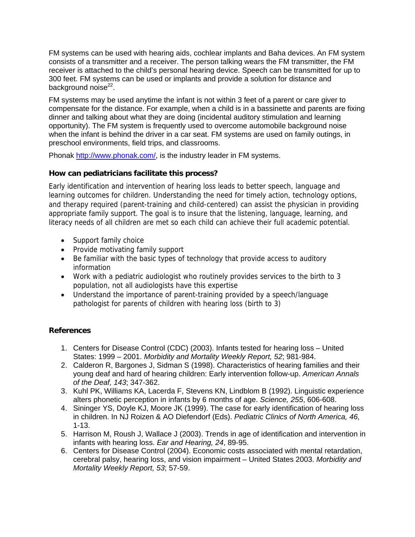FM systems can be used with hearing aids, cochlear implants and Baha devices. An FM system consists of a transmitter and a receiver. The person talking wears the FM transmitter, the FM receiver is attached to the child's personal hearing device. Speech can be transmitted for up to 300 feet. FM systems can be used or implants and provide a solution for distance and background noise $^{22}$ .

FM systems may be used anytime the infant is not within 3 feet of a parent or care giver to compensate for the distance. For example, when a child is in a bassinette and parents are fixing dinner and talking about what they are doing (incidental auditory stimulation and learning opportunity). The FM system is frequently used to overcome automobile background noise when the infant is behind the driver in a car seat. FM systems are used on family outings, in preschool environments, field trips, and classrooms.

Phonak [http://www.phonak.com/,](http://www.phonak.com/) is the industry leader in FM systems.

# **How can pediatricians facilitate this process?**

Early identification and intervention of hearing loss leads to better speech, language and learning outcomes for children. Understanding the need for timely action, technology options, and therapy required (parent-training and child-centered) can assist the physician in providing appropriate family support. The goal is to insure that the listening, language, learning, and literacy needs of all children are met so each child can achieve their full academic potential.

- Support family choice
- Provide motivating family support
- Be familiar with the basic types of technology that provide access to auditory information
- Work with a pediatric audiologist who routinely provides services to the birth to 3 population, not all audiologists have this expertise
- Understand the importance of parent-training provided by a speech/language pathologist for parents of children with hearing loss (birth to 3)

## **References**

- 1. Centers for Disease Control (CDC) (2003). Infants tested for hearing loss United States: 1999 – 2001. *Morbidity and Mortality Weekly Report, 52*; 981-984.
- 2. Calderon R, Bargones J, Sidman S (1998). Characteristics of hearing families and their young deaf and hard of hearing children: Early intervention follow-up. *American Annals of the Deaf, 143*; 347-362.
- 3. Kuhl PK, Williams KA, Lacerda F, Stevens KN, Lindblom B (1992). Linguistic experience alters phonetic perception in infants by 6 months of age. *Science, 255*, 606-608.
- 4. Sininger YS, Doyle KJ, Moore JK (1999). The case for early identification of hearing loss in children. In NJ Roizen & AO Diefendorf (Eds). *Pediatric Clinics of North America, 46,*  1-13.
- 5. Harrison M, Roush J, Wallace J (2003). Trends in age of identification and intervention in infants with hearing loss. *Ear and Hearing, 24*, 89-95.
- 6. Centers for Disease Control (2004). Economic costs associated with mental retardation, cerebral palsy, hearing loss, and vision impairment – United States 2003. *Morbidity and Mortality Weekly Report, 53*; 57-59.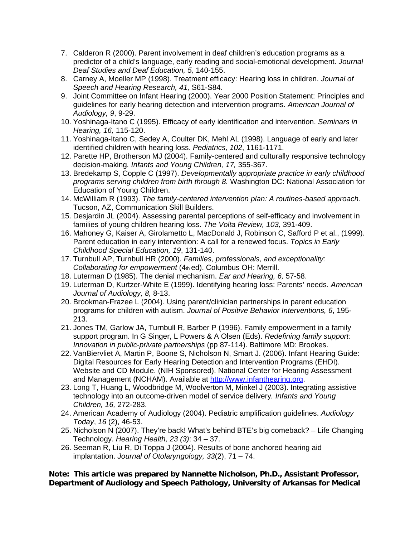- 7. Calderon R (2000). Parent involvement in deaf children's education programs as a predictor of a child's language, early reading and social-emotional development. *Journal Deaf Studies and Deaf Education, 5,* 140-155.
- 8. Carney A, Moeller MP (1998). Treatment efficacy: Hearing loss in children. *Journal of Speech and Hearing Research, 41,* S61-S84.
- 9. Joint Committee on Infant Hearing (2000). Year 2000 Position Statement: Principles and guidelines for early hearing detection and intervention programs. *American Journal of Audiology, 9*, 9-29.
- 10. Yoshinaga-Itano C (1995). Efficacy of early identification and intervention. *Seminars in Hearing, 16,* 115-120.
- 11. Yoshinaga-Itano C, Sedey A, Coulter DK, Mehl AL (1998). Language of early and later identified children with hearing loss. *Pediatrics, 102*, 1161-1171.
- 12. Parette HP, Brotherson MJ (2004). Family-centered and culturally responsive technology decision-making*. Infants and Young Children, 17,* 355-367.
- 13. Bredekamp S, Copple C (1997). *Developmentally appropriate practice in early childhood programs serving children from birth through 8.* Washington DC: National Association for Education of Young Children.
- 14. McWilliam R (1993). *The family-centered intervention plan: A routines-based approach.*  Tucson, AZ, Communication Skill Builders.
- 15. Desjardin JL (2004). Assessing parental perceptions of self-efficacy and involvement in families of young children hearing loss. *The Volta Review, 103,* 391-409.
- 16. Mahoney G, Kaiser A, Girolametto L, MacDonald J, Robinson C, Safford P et al., (1999). Parent education in early intervention: A call for a renewed focus. *Topics in Early Childhood Special Education, 19*, 131-140.
- 17. Turnbull AP, Turnbull HR (2000). *Families, professionals, and exceptionality: Collaborating for empowerment* (4th ed). Columbus OH: Merrill.
- 18. Luterman D (1985). The denial mechanism. *Ear and Hearing, 6,* 57-58.
- 19. Luterman D, Kurtzer-White E (1999). Identifying hearing loss: Parents' needs. *American Journal of Audiology, 8,* 8-13.
- 20. Brookman-Frazee L (2004). Using parent/clinician partnerships in parent education programs for children with autism. *Journal of Positive Behavior Interventions, 6*, 195- 213.
- 21. Jones TM, Garlow JA, Turnbull R, Barber P (1996). Family empowerment in a family support program. In G Singer, L Powers & A Olsen (Eds). *Redefining family support: Innovation in public-private partnerships* (pp 87-114). Baltimore MD: Brookes.
- 22. VanBiervliet A, Martin P, Boone S, Nicholson N, Smart J. (2006). Infant Hearing Guide: Digital Resources for Early Hearing Detection and Intervention Programs (EHDI). Website and CD Module. (NIH Sponsored). National Center for Hearing Assessment and Management (NCHAM). Available at [http://www.infanthearing.org](http://www.infanthearing.org/).
- 23. Long T, Huang L, Woodbridge M, Woolverton M, Minkel J (2003). Integrating assistive technology into an outcome-driven model of service delivery*. Infants and Young Children, 16,* 272-283.
- 24. American Academy of Audiology (2004). Pediatric amplification guidelines. *Audiology Today*, *16* (2), 46-53.
- 25. Nicholson N (2007). They're back! What's behind BTE's big comeback? Life Changing Technology. *Hearing Health, 23 (3)*: 34 – 37.
- 26. Seeman R, Liu R, Di Toppa J (2004). Results of bone anchored hearing aid implantation. *Journal of Otolaryngology, 33*(2), 71 – 74.

**Note: This article was prepared by Nannette Nicholson, Ph.D., Assistant Professor, Department of Audiology and Speech Pathology, University of Arkansas for Medical**